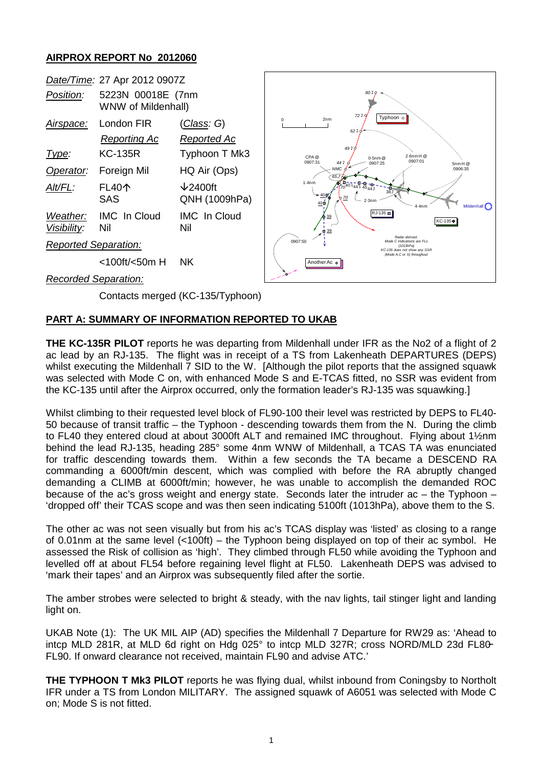## **AIRPROX REPORT No 2012060**



## **PART A: SUMMARY OF INFORMATION REPORTED TO UKAB**

**THE KC-135R PILOT** reports he was departing from Mildenhall under IFR as the No2 of a flight of 2 ac lead by an RJ-135. The flight was in receipt of a TS from Lakenheath DEPARTURES (DEPS) whilst executing the Mildenhall 7 SID to the W. [Although the pilot reports that the assigned squawk was selected with Mode C on, with enhanced Mode S and E-TCAS fitted, no SSR was evident from the KC-135 until after the Airprox occurred, only the formation leader's RJ-135 was squawking.]

Whilst climbing to their requested level block of FL90-100 their level was restricted by DEPS to FL40- 50 because of transit traffic – the Typhoon - descending towards them from the N. During the climb to FL40 they entered cloud at about 3000ft ALT and remained IMC throughout. Flying about 1½nm behind the lead RJ-135, heading 285° some 4nm WNW of Mildenhall, a TCAS TA was enunciated for traffic descending towards them. Within a few seconds the TA became a DESCEND RA commanding a 6000ft/min descent, which was complied with before the RA abruptly changed demanding a CLIMB at 6000ft/min; however, he was unable to accomplish the demanded ROC because of the ac's gross weight and energy state. Seconds later the intruder ac – the Typhoon – 'dropped off' their TCAS scope and was then seen indicating 5100ft (1013hPa), above them to the S.

The other ac was not seen visually but from his ac's TCAS display was 'listed' as closing to a range of 0.01nm at the same level (<100ft) – the Typhoon being displayed on top of their ac symbol. He assessed the Risk of collision as 'high'. They climbed through FL50 while avoiding the Typhoon and levelled off at about FL54 before regaining level flight at FL50. Lakenheath DEPS was advised to 'mark their tapes' and an Airprox was subsequently filed after the sortie.

The amber strobes were selected to bright & steady, with the nav lights, tail stinger light and landing light on.

UKAB Note (1): The UK MIL AIP (AD) specifies the Mildenhall 7 Departure for RW29 as: 'Ahead to intcp MLD 281R, at MLD 6d right on Hdg 025° to intcp MLD 327R; cross NORD/MLD 23d FL80− FL90. If onward clearance not received, maintain FL90 and advise ATC.'

**THE TYPHOON T Mk3 PILOT** reports he was flying dual, whilst inbound from Coningsby to Northolt IFR under a TS from London MILITARY. The assigned squawk of A6051 was selected with Mode C on; Mode S is not fitted.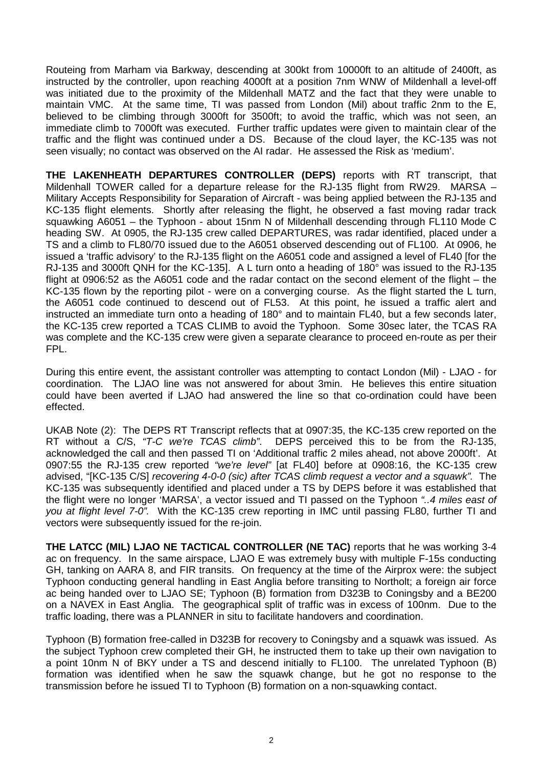Routeing from Marham via Barkway, descending at 300kt from 10000ft to an altitude of 2400ft, as instructed by the controller, upon reaching 4000ft at a position 7nm WNW of Mildenhall a level-off was initiated due to the proximity of the Mildenhall MATZ and the fact that they were unable to maintain VMC. At the same time, TI was passed from London (Mil) about traffic 2nm to the E, believed to be climbing through 3000ft for 3500ft; to avoid the traffic, which was not seen, an immediate climb to 7000ft was executed. Further traffic updates were given to maintain clear of the traffic and the flight was continued under a DS. Because of the cloud layer, the KC-135 was not seen visually; no contact was observed on the AI radar. He assessed the Risk as 'medium'.

**THE LAKENHEATH DEPARTURES CONTROLLER (DEPS)** reports with RT transcript, that Mildenhall TOWER called for a departure release for the RJ-135 flight from RW29. MARSA – Military Accepts Responsibility for Separation of Aircraft - was being applied between the RJ-135 and KC-135 flight elements. Shortly after releasing the flight, he observed a fast moving radar track squawking A6051 – the Typhoon - about 15nm N of Mildenhall descending through FL110 Mode C heading SW. At 0905, the RJ-135 crew called DEPARTURES, was radar identified, placed under a TS and a climb to FL80/70 issued due to the A6051 observed descending out of FL100. At 0906, he issued a 'traffic advisory' to the RJ-135 flight on the A6051 code and assigned a level of FL40 [for the RJ-135 and 3000ft QNH for the KC-135]. A L turn onto a heading of 180° was issued to the RJ-135 flight at 0906:52 as the A6051 code and the radar contact on the second element of the flight – the KC-135 flown by the reporting pilot - were on a converging course. As the flight started the L turn, the A6051 code continued to descend out of FL53. At this point, he issued a traffic alert and instructed an immediate turn onto a heading of 180° and to maintain FL40, but a few seconds later, the KC-135 crew reported a TCAS CLIMB to avoid the Typhoon. Some 30sec later, the TCAS RA was complete and the KC-135 crew were given a separate clearance to proceed en-route as per their FPL.

During this entire event, the assistant controller was attempting to contact London (Mil) - LJAO - for coordination. The LJAO line was not answered for about 3min. He believes this entire situation could have been averted if LJAO had answered the line so that co-ordination could have been effected.

UKAB Note (2): The DEPS RT Transcript reflects that at 0907:35, the KC-135 crew reported on the RT without a C/S, *"T-C we're TCAS climb"*. DEPS perceived this to be from the RJ-135, acknowledged the call and then passed TI on 'Additional traffic 2 miles ahead, not above 2000ft'. At 0907:55 the RJ-135 crew reported *"we're level"* [at FL40] before at 0908:16, the KC-135 crew advised, "[KC-135 C/S] *recovering 4-0-0 (sic) after TCAS climb request a vector and a squawk".* The KC-135 was subsequently identified and placed under a TS by DEPS before it was established that the flight were no longer 'MARSA', a vector issued and TI passed on the Typhoon *"..4 miles east of you at flight level 7-0".* With the KC-135 crew reporting in IMC until passing FL80, further TI and vectors were subsequently issued for the re-join.

**THE LATCC (MIL) LJAO NE TACTICAL CONTROLLER (NE TAC)** reports that he was working 3-4 ac on frequency. In the same airspace, LJAO E was extremely busy with multiple F-15s conducting GH, tanking on AARA 8, and FIR transits. On frequency at the time of the Airprox were: the subject Typhoon conducting general handling in East Anglia before transiting to Northolt; a foreign air force ac being handed over to LJAO SE; Typhoon (B) formation from D323B to Coningsby and a BE200 on a NAVEX in East Anglia. The geographical split of traffic was in excess of 100nm. Due to the traffic loading, there was a PLANNER in situ to facilitate handovers and coordination.

Typhoon (B) formation free-called in D323B for recovery to Coningsby and a squawk was issued. As the subject Typhoon crew completed their GH, he instructed them to take up their own navigation to a point 10nm N of BKY under a TS and descend initially to FL100. The unrelated Typhoon (B) formation was identified when he saw the squawk change, but he got no response to the transmission before he issued TI to Typhoon (B) formation on a non-squawking contact.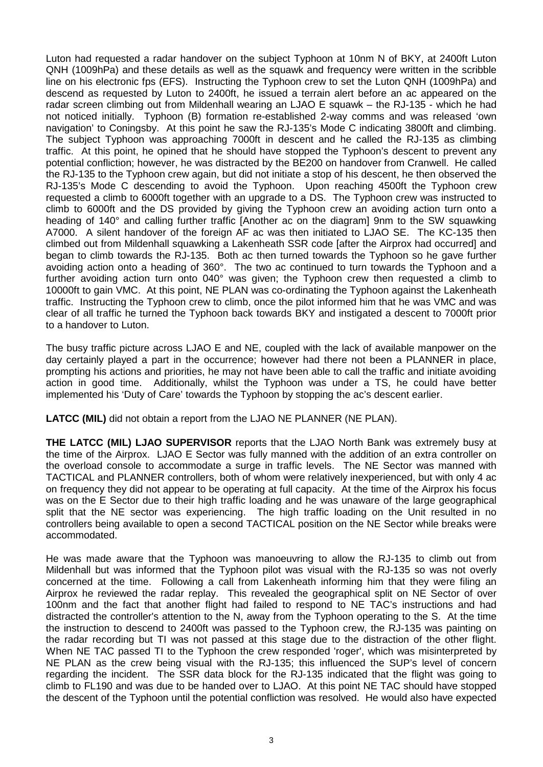Luton had requested a radar handover on the subject Typhoon at 10nm N of BKY, at 2400ft Luton QNH (1009hPa) and these details as well as the squawk and frequency were written in the scribble line on his electronic fps (EFS). Instructing the Typhoon crew to set the Luton QNH (1009hPa) and descend as requested by Luton to 2400ft, he issued a terrain alert before an ac appeared on the radar screen climbing out from Mildenhall wearing an LJAO E squawk – the RJ-135 - which he had not noticed initially. Typhoon (B) formation re-established 2-way comms and was released 'own navigation' to Coningsby. At this point he saw the RJ-135's Mode C indicating 3800ft and climbing. The subject Typhoon was approaching 7000ft in descent and he called the RJ-135 as climbing traffic. At this point, he opined that he should have stopped the Typhoon's descent to prevent any potential confliction; however, he was distracted by the BE200 on handover from Cranwell. He called the RJ-135 to the Typhoon crew again, but did not initiate a stop of his descent, he then observed the RJ-135's Mode C descending to avoid the Typhoon. Upon reaching 4500ft the Typhoon crew requested a climb to 6000ft together with an upgrade to a DS. The Typhoon crew was instructed to climb to 6000ft and the DS provided by giving the Typhoon crew an avoiding action turn onto a heading of 140° and calling further traffic [Another ac on the diagram] 9nm to the SW squawking A7000. A silent handover of the foreign AF ac was then initiated to LJAO SE. The KC-135 then climbed out from Mildenhall squawking a Lakenheath SSR code [after the Airprox had occurred] and began to climb towards the RJ-135. Both ac then turned towards the Typhoon so he gave further avoiding action onto a heading of 360°. The two ac continued to turn towards the Typhoon and a further avoiding action turn onto 040° was given; the Typhoon crew then requested a climb to 10000ft to gain VMC. At this point, NE PLAN was co-ordinating the Typhoon against the Lakenheath traffic. Instructing the Typhoon crew to climb, once the pilot informed him that he was VMC and was clear of all traffic he turned the Typhoon back towards BKY and instigated a descent to 7000ft prior to a handover to Luton.

The busy traffic picture across LJAO E and NE, coupled with the lack of available manpower on the day certainly played a part in the occurrence; however had there not been a PLANNER in place, prompting his actions and priorities, he may not have been able to call the traffic and initiate avoiding action in good time. Additionally, whilst the Typhoon was under a TS, he could have better implemented his 'Duty of Care' towards the Typhoon by stopping the ac's descent earlier.

LATCC (MIL) did not obtain a report from the LJAO NE PLANNER (NE PLAN).

**THE LATCC (MIL) LJAO SUPERVISOR** reports that the LJAO North Bank was extremely busy at the time of the Airprox. LJAO E Sector was fully manned with the addition of an extra controller on the overload console to accommodate a surge in traffic levels. The NE Sector was manned with TACTICAL and PLANNER controllers, both of whom were relatively inexperienced, but with only 4 ac on frequency they did not appear to be operating at full capacity. At the time of the Airprox his focus was on the E Sector due to their high traffic loading and he was unaware of the large geographical split that the NE sector was experiencing. The high traffic loading on the Unit resulted in no controllers being available to open a second TACTICAL position on the NE Sector while breaks were accommodated.

He was made aware that the Typhoon was manoeuvring to allow the RJ-135 to climb out from Mildenhall but was informed that the Typhoon pilot was visual with the RJ-135 so was not overly concerned at the time. Following a call from Lakenheath informing him that they were filing an Airprox he reviewed the radar replay. This revealed the geographical split on NE Sector of over 100nm and the fact that another flight had failed to respond to NE TAC's instructions and had distracted the controller's attention to the N, away from the Typhoon operating to the S. At the time the instruction to descend to 2400ft was passed to the Typhoon crew, the RJ-135 was painting on the radar recording but TI was not passed at this stage due to the distraction of the other flight. When NE TAC passed TI to the Typhoon the crew responded 'roger', which was misinterpreted by NE PLAN as the crew being visual with the RJ-135; this influenced the SUP's level of concern regarding the incident. The SSR data block for the RJ-135 indicated that the flight was going to climb to FL190 and was due to be handed over to LJAO. At this point NE TAC should have stopped the descent of the Typhoon until the potential confliction was resolved. He would also have expected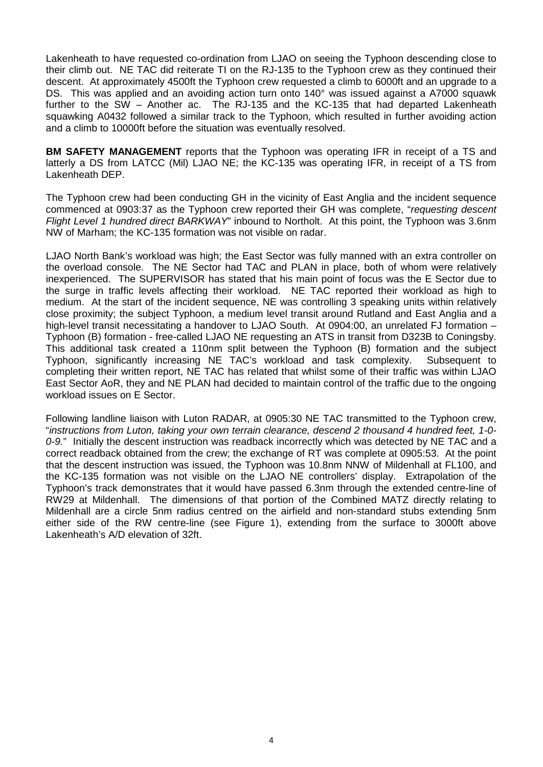Lakenheath to have requested co-ordination from LJAO on seeing the Typhoon descending close to their climb out. NE TAC did reiterate TI on the RJ-135 to the Typhoon crew as they continued their descent. At approximately 4500ft the Typhoon crew requested a climb to 6000ft and an upgrade to a DS. This was applied and an avoiding action turn onto 140° was issued against a A7000 squawk further to the SW – Another ac. The RJ-135 and the KC-135 that had departed Lakenheath squawking A0432 followed a similar track to the Typhoon, which resulted in further avoiding action and a climb to 10000ft before the situation was eventually resolved.

**BM SAFETY MANAGEMENT** reports that the Typhoon was operating IFR in receipt of a TS and latterly a DS from LATCC (Mil) LJAO NE; the KC-135 was operating IFR, in receipt of a TS from Lakenheath DEP.

The Typhoon crew had been conducting GH in the vicinity of East Anglia and the incident sequence commenced at 0903:37 as the Typhoon crew reported their GH was complete, "*requesting descent Flight Level 1 hundred direct BARKWAY*" inbound to Northolt. At this point, the Typhoon was 3.6nm NW of Marham; the KC-135 formation was not visible on radar.

LJAO North Bank's workload was high; the East Sector was fully manned with an extra controller on the overload console. The NE Sector had TAC and PLAN in place, both of whom were relatively inexperienced. The SUPERVISOR has stated that his main point of focus was the E Sector due to the surge in traffic levels affecting their workload. NE TAC reported their workload as high to medium. At the start of the incident sequence, NE was controlling 3 speaking units within relatively close proximity; the subject Typhoon, a medium level transit around Rutland and East Anglia and a high-level transit necessitating a handover to LJAO South. At 0904:00, an unrelated FJ formation -Typhoon (B) formation - free-called LJAO NE requesting an ATS in transit from D323B to Coningsby. This additional task created a 110nm split between the Typhoon (B) formation and the subject Typhoon, significantly increasing NE TAC's workload and task complexity. Subsequent to completing their written report, NE TAC has related that whilst some of their traffic was within LJAO East Sector AoR, they and NE PLAN had decided to maintain control of the traffic due to the ongoing workload issues on E Sector.

Following landline liaison with Luton RADAR, at 0905:30 NE TAC transmitted to the Typhoon crew, "*instructions from Luton, taking your own terrain clearance, descend 2 thousand 4 hundred feet, 1-0- 0-9.*" Initially the descent instruction was readback incorrectly which was detected by NE TAC and a correct readback obtained from the crew; the exchange of RT was complete at 0905:53. At the point that the descent instruction was issued, the Typhoon was 10.8nm NNW of Mildenhall at FL100, and the KC-135 formation was not visible on the LJAO NE controllers' display. Extrapolation of the Typhoon's track demonstrates that it would have passed 6.3nm through the extended centre-line of RW29 at Mildenhall. The dimensions of that portion of the Combined MATZ directly relating to Mildenhall are a circle 5nm radius centred on the airfield and non-standard stubs extending 5nm either side of the RW centre-line (see Figure 1), extending from the surface to 3000ft above Lakenheath's A/D elevation of 32ft.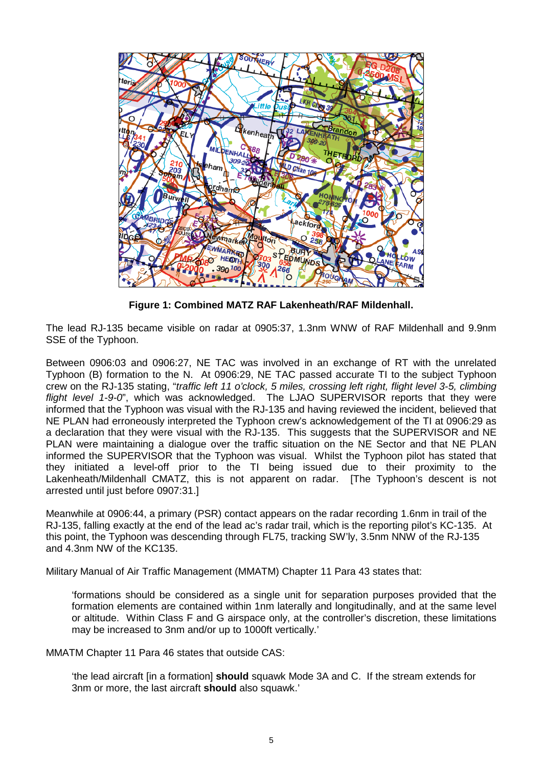

**Figure 1: Combined MATZ RAF Lakenheath/RAF Mildenhall.**

The lead RJ-135 became visible on radar at 0905:37, 1.3nm WNW of RAF Mildenhall and 9.9nm SSE of the Typhoon.

Between 0906:03 and 0906:27, NE TAC was involved in an exchange of RT with the unrelated Typhoon (B) formation to the N. At 0906:29, NE TAC passed accurate TI to the subject Typhoon crew on the RJ-135 stating, "*traffic left 11 o'clock, 5 miles, crossing left right, flight level 3-5, climbing flight level 1-9-0*", which was acknowledged. The LJAO SUPERVISOR reports that they were informed that the Typhoon was visual with the RJ-135 and having reviewed the incident, believed that NE PLAN had erroneously interpreted the Typhoon crew's acknowledgement of the TI at 0906:29 as a declaration that they were visual with the RJ-135. This suggests that the SUPERVISOR and NE PLAN were maintaining a dialogue over the traffic situation on the NE Sector and that NE PLAN informed the SUPERVISOR that the Typhoon was visual. Whilst the Typhoon pilot has stated that they initiated a level-off prior to the TI being issued due to their proximity to the Lakenheath/Mildenhall CMATZ, this is not apparent on radar. [The Typhoon's descent is not arrested until just before 0907:31.]

Meanwhile at 0906:44, a primary (PSR) contact appears on the radar recording 1.6nm in trail of the RJ-135, falling exactly at the end of the lead ac's radar trail, which is the reporting pilot's KC-135. At this point, the Typhoon was descending through FL75, tracking SW'ly, 3.5nm NNW of the RJ-135 and 4.3nm NW of the KC135.

Military Manual of Air Traffic Management (MMATM) Chapter 11 Para 43 states that:

'formations should be considered as a single unit for separation purposes provided that the formation elements are contained within 1nm laterally and longitudinally, and at the same level or altitude. Within Class F and G airspace only, at the controller's discretion, these limitations may be increased to 3nm and/or up to 1000ft vertically.'

MMATM Chapter 11 Para 46 states that outside CAS:

'the lead aircraft [in a formation] **should** squawk Mode 3A and C. If the stream extends for 3nm or more, the last aircraft **should** also squawk.'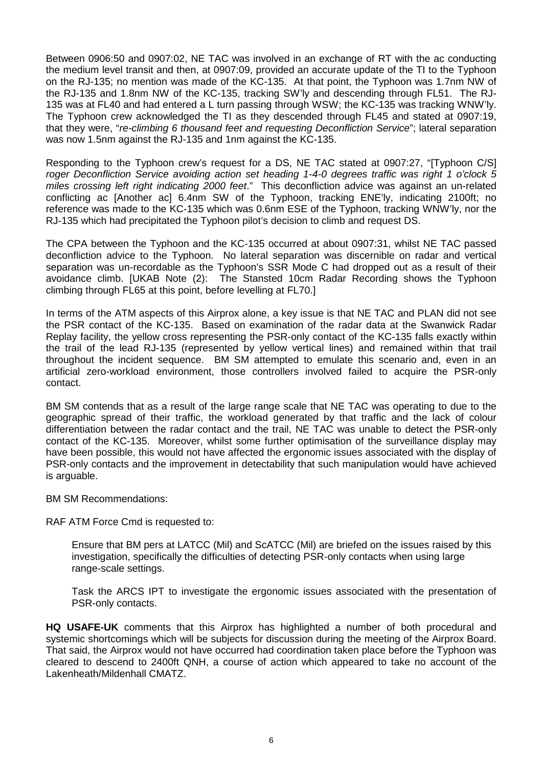Between 0906:50 and 0907:02, NE TAC was involved in an exchange of RT with the ac conducting the medium level transit and then, at 0907:09, provided an accurate update of the TI to the Typhoon on the RJ-135; no mention was made of the KC-135. At that point, the Typhoon was 1.7nm NW of the RJ-135 and 1.8nm NW of the KC-135, tracking SW'ly and descending through FL51. The RJ-135 was at FL40 and had entered a L turn passing through WSW; the KC-135 was tracking WNW'ly. The Typhoon crew acknowledged the TI as they descended through FL45 and stated at 0907:19, that they were, "*re-climbing 6 thousand feet and requesting Deconfliction Service*"; lateral separation was now 1.5nm against the RJ-135 and 1nm against the KC-135.

Responding to the Typhoon crew's request for a DS, NE TAC stated at 0907:27, "[Typhoon C/S] *roger Deconfliction Service avoiding action set heading 1-4-0 degrees traffic was right 1 o'clock 5 miles crossing left right indicating 2000 feet*." This deconfliction advice was against an un-related conflicting ac [Another ac] 6.4nm SW of the Typhoon, tracking ENE'ly, indicating 2100ft; no reference was made to the KC-135 which was 0.6nm ESE of the Typhoon, tracking WNW'ly, nor the RJ-135 which had precipitated the Typhoon pilot's decision to climb and request DS.

The CPA between the Typhoon and the KC-135 occurred at about 0907:31, whilst NE TAC passed deconfliction advice to the Typhoon. No lateral separation was discernible on radar and vertical separation was un-recordable as the Typhoon's SSR Mode C had dropped out as a result of their avoidance climb. [UKAB Note (2): The Stansted 10cm Radar Recording shows the Typhoon climbing through FL65 at this point, before levelling at FL70.]

In terms of the ATM aspects of this Airprox alone, a key issue is that NE TAC and PLAN did not see the PSR contact of the KC-135. Based on examination of the radar data at the Swanwick Radar Replay facility, the yellow cross representing the PSR-only contact of the KC-135 falls exactly within the trail of the lead RJ-135 (represented by yellow vertical lines) and remained within that trail throughout the incident sequence. BM SM attempted to emulate this scenario and, even in an artificial zero-workload environment, those controllers involved failed to acquire the PSR-only contact.

BM SM contends that as a result of the large range scale that NE TAC was operating to due to the geographic spread of their traffic, the workload generated by that traffic and the lack of colour differentiation between the radar contact and the trail, NE TAC was unable to detect the PSR-only contact of the KC-135. Moreover, whilst some further optimisation of the surveillance display may have been possible, this would not have affected the ergonomic issues associated with the display of PSR-only contacts and the improvement in detectability that such manipulation would have achieved is arguable.

BM SM Recommendations:

RAF ATM Force Cmd is requested to:

Ensure that BM pers at LATCC (Mil) and ScATCC (Mil) are briefed on the issues raised by this investigation, specifically the difficulties of detecting PSR-only contacts when using large range-scale settings.

Task the ARCS IPT to investigate the ergonomic issues associated with the presentation of PSR-only contacts.

**HQ USAFE-UK** comments that this Airprox has highlighted a number of both procedural and systemic shortcomings which will be subjects for discussion during the meeting of the Airprox Board. That said, the Airprox would not have occurred had coordination taken place before the Typhoon was cleared to descend to 2400ft QNH, a course of action which appeared to take no account of the Lakenheath/Mildenhall CMATZ.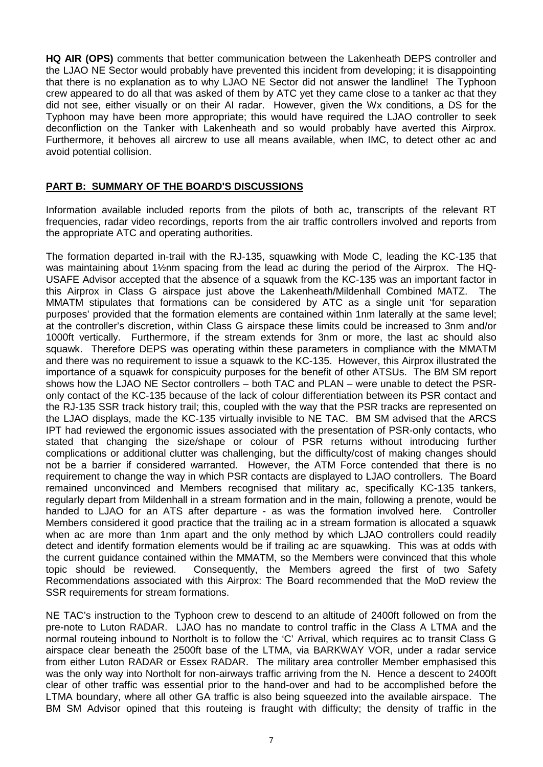**HQ AIR (OPS)** comments that better communication between the Lakenheath DEPS controller and the LJAO NE Sector would probably have prevented this incident from developing; it is disappointing that there is no explanation as to why LJAO NE Sector did not answer the landline! The Typhoon crew appeared to do all that was asked of them by ATC yet they came close to a tanker ac that they did not see, either visually or on their AI radar. However, given the Wx conditions, a DS for the Typhoon may have been more appropriate; this would have required the LJAO controller to seek deconfliction on the Tanker with Lakenheath and so would probably have averted this Airprox. Furthermore, it behoves all aircrew to use all means available, when IMC, to detect other ac and avoid potential collision.

## **PART B: SUMMARY OF THE BOARD'S DISCUSSIONS**

Information available included reports from the pilots of both ac, transcripts of the relevant RT frequencies, radar video recordings, reports from the air traffic controllers involved and reports from the appropriate ATC and operating authorities.

The formation departed in-trail with the RJ-135, squawking with Mode C, leading the KC-135 that was maintaining about 1½nm spacing from the lead ac during the period of the Airprox. The HQ-USAFE Advisor accepted that the absence of a squawk from the KC-135 was an important factor in this Airprox in Class G airspace just above the Lakenheath/Mildenhall Combined MATZ. The MMATM stipulates that formations can be considered by ATC as a single unit 'for separation purposes' provided that the formation elements are contained within 1nm laterally at the same level; at the controller's discretion, within Class G airspace these limits could be increased to 3nm and/or 1000ft vertically. Furthermore, if the stream extends for 3nm or more, the last ac should also squawk. Therefore DEPS was operating within these parameters in compliance with the MMATM and there was no requirement to issue a squawk to the KC-135. However, this Airprox illustrated the importance of a squawk for conspicuity purposes for the benefit of other ATSUs. The BM SM report shows how the LJAO NE Sector controllers – both TAC and PLAN – were unable to detect the PSRonly contact of the KC-135 because of the lack of colour differentiation between its PSR contact and the RJ-135 SSR track history trail; this, coupled with the way that the PSR tracks are represented on the LJAO displays, made the KC-135 virtually invisible to NE TAC. BM SM advised that the ARCS IPT had reviewed the ergonomic issues associated with the presentation of PSR-only contacts, who stated that changing the size/shape or colour of PSR returns without introducing further complications or additional clutter was challenging, but the difficulty/cost of making changes should not be a barrier if considered warranted. However, the ATM Force contended that there is no requirement to change the way in which PSR contacts are displayed to LJAO controllers. The Board remained unconvinced and Members recognised that military ac, specifically KC-135 tankers, regularly depart from Mildenhall in a stream formation and in the main, following a prenote, would be handed to LJAO for an ATS after departure - as was the formation involved here. Controller Members considered it good practice that the trailing ac in a stream formation is allocated a squawk when ac are more than 1nm apart and the only method by which LJAO controllers could readily detect and identify formation elements would be if trailing ac are squawking. This was at odds with the current guidance contained within the MMATM, so the Members were convinced that this whole topic should be reviewed. Consequently, the Members agreed the first of two Safety Recommendations associated with this Airprox: The Board recommended that the MoD review the SSR requirements for stream formations.

NE TAC's instruction to the Typhoon crew to descend to an altitude of 2400ft followed on from the pre-note to Luton RADAR. LJAO has no mandate to control traffic in the Class A LTMA and the normal routeing inbound to Northolt is to follow the 'C' Arrival, which requires ac to transit Class G airspace clear beneath the 2500ft base of the LTMA, via BARKWAY VOR, under a radar service from either Luton RADAR or Essex RADAR. The military area controller Member emphasised this was the only way into Northolt for non-airways traffic arriving from the N. Hence a descent to 2400ft clear of other traffic was essential prior to the hand-over and had to be accomplished before the LTMA boundary, where all other GA traffic is also being squeezed into the available airspace. The BM SM Advisor opined that this routeing is fraught with difficulty; the density of traffic in the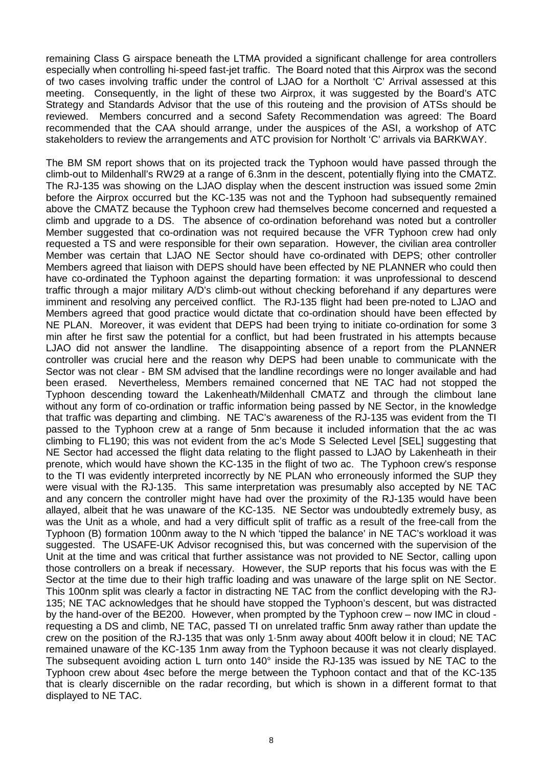remaining Class G airspace beneath the LTMA provided a significant challenge for area controllers especially when controlling hi-speed fast-jet traffic. The Board noted that this Airprox was the second of two cases involving traffic under the control of LJAO for a Northolt 'C' Arrival assessed at this meeting. Consequently, in the light of these two Airprox, it was suggested by the Board's ATC Strategy and Standards Advisor that the use of this routeing and the provision of ATSs should be reviewed. Members concurred and a second Safety Recommendation was agreed: The Board recommended that the CAA should arrange, under the auspices of the ASI, a workshop of ATC stakeholders to review the arrangements and ATC provision for Northolt 'C' arrivals via BARKWAY.

The BM SM report shows that on its projected track the Typhoon would have passed through the climb-out to Mildenhall's RW29 at a range of 6.3nm in the descent, potentially flying into the CMATZ. The RJ-135 was showing on the LJAO display when the descent instruction was issued some 2min before the Airprox occurred but the KC-135 was not and the Typhoon had subsequently remained above the CMATZ because the Typhoon crew had themselves become concerned and requested a climb and upgrade to a DS. The absence of co-ordination beforehand was noted but a controller Member suggested that co-ordination was not required because the VFR Typhoon crew had only requested a TS and were responsible for their own separation. However, the civilian area controller Member was certain that LJAO NE Sector should have co-ordinated with DEPS; other controller Members agreed that liaison with DEPS should have been effected by NE PLANNER who could then have co-ordinated the Typhoon against the departing formation: it was unprofessional to descend traffic through a major military A/D's climb-out without checking beforehand if any departures were imminent and resolving any perceived conflict. The RJ-135 flight had been pre-noted to LJAO and Members agreed that good practice would dictate that co-ordination should have been effected by NE PLAN. Moreover, it was evident that DEPS had been trying to initiate co-ordination for some 3 min after he first saw the potential for a conflict, but had been frustrated in his attempts because LJAO did not answer the landline. The disappointing absence of a report from the PLANNER controller was crucial here and the reason why DEPS had been unable to communicate with the Sector was not clear - BM SM advised that the landline recordings were no longer available and had been erased. Nevertheless, Members remained concerned that NE TAC had not stopped the Typhoon descending toward the Lakenheath/Mildenhall CMATZ and through the climbout lane without any form of co-ordination or traffic information being passed by NE Sector, in the knowledge that traffic was departing and climbing. NE TAC's awareness of the RJ-135 was evident from the TI passed to the Typhoon crew at a range of 5nm because it included information that the ac was climbing to FL190; this was not evident from the ac's Mode S Selected Level [SEL] suggesting that NE Sector had accessed the flight data relating to the flight passed to LJAO by Lakenheath in their prenote, which would have shown the KC-135 in the flight of two ac. The Typhoon crew's response to the TI was evidently interpreted incorrectly by NE PLAN who erroneously informed the SUP they were visual with the RJ-135. This same interpretation was presumably also accepted by NE TAC and any concern the controller might have had over the proximity of the RJ-135 would have been allayed, albeit that he was unaware of the KC-135. NE Sector was undoubtedly extremely busy, as was the Unit as a whole, and had a very difficult split of traffic as a result of the free-call from the Typhoon (B) formation 100nm away to the N which 'tipped the balance' in NE TAC's workload it was suggested. The USAFE-UK Advisor recognised this, but was concerned with the supervision of the Unit at the time and was critical that further assistance was not provided to NE Sector, calling upon those controllers on a break if necessary. However, the SUP reports that his focus was with the E Sector at the time due to their high traffic loading and was unaware of the large split on NE Sector. This 100nm split was clearly a factor in distracting NE TAC from the conflict developing with the RJ-135; NE TAC acknowledges that he should have stopped the Typhoon's descent, but was distracted by the hand-over of the BE200. However, when prompted by the Typhoon crew – now IMC in cloud requesting a DS and climb, NE TAC, passed TI on unrelated traffic 5nm away rather than update the crew on the position of the RJ-135 that was only 1·5nm away about 400ft below it in cloud; NE TAC remained unaware of the KC-135 1nm away from the Typhoon because it was not clearly displayed. The subsequent avoiding action L turn onto 140° inside the RJ-135 was issued by NE TAC to the Typhoon crew about 4sec before the merge between the Typhoon contact and that of the KC-135 that is clearly discernible on the radar recording, but which is shown in a different format to that displayed to NE TAC.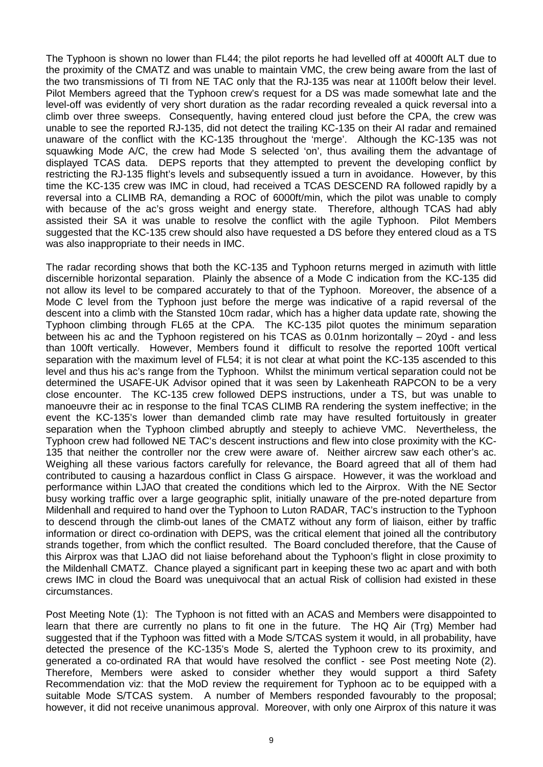The Typhoon is shown no lower than FL44; the pilot reports he had levelled off at 4000ft ALT due to the proximity of the CMATZ and was unable to maintain VMC, the crew being aware from the last of the two transmissions of TI from NE TAC only that the RJ-135 was near at 1100ft below their level. Pilot Members agreed that the Typhoon crew's request for a DS was made somewhat late and the level-off was evidently of very short duration as the radar recording revealed a quick reversal into a climb over three sweeps. Consequently, having entered cloud just before the CPA, the crew was unable to see the reported RJ-135, did not detect the trailing KC-135 on their AI radar and remained unaware of the conflict with the KC-135 throughout the 'merge'. Although the KC-135 was not squawking Mode A/C, the crew had Mode S selected 'on', thus availing them the advantage of displayed TCAS data. DEPS reports that they attempted to prevent the developing conflict by restricting the RJ-135 flight's levels and subsequently issued a turn in avoidance. However, by this time the KC-135 crew was IMC in cloud, had received a TCAS DESCEND RA followed rapidly by a reversal into a CLIMB RA, demanding a ROC of 6000ft/min, which the pilot was unable to comply with because of the ac's gross weight and energy state. Therefore, although TCAS had ably assisted their SA it was unable to resolve the conflict with the agile Typhoon. Pilot Members suggested that the KC-135 crew should also have requested a DS before they entered cloud as a TS was also inappropriate to their needs in IMC.

The radar recording shows that both the KC-135 and Typhoon returns merged in azimuth with little discernible horizontal separation. Plainly the absence of a Mode C indication from the KC-135 did not allow its level to be compared accurately to that of the Typhoon. Moreover, the absence of a Mode C level from the Typhoon just before the merge was indicative of a rapid reversal of the descent into a climb with the Stansted 10cm radar, which has a higher data update rate, showing the Typhoon climbing through FL65 at the CPA. The KC-135 pilot quotes the minimum separation between his ac and the Typhoon registered on his TCAS as 0.01nm horizontally – 20yd - and less than 100ft vertically. However, Members found it difficult to resolve the reported 100ft vertical separation with the maximum level of FL54; it is not clear at what point the KC-135 ascended to this level and thus his ac's range from the Typhoon. Whilst the minimum vertical separation could not be determined the USAFE-UK Advisor opined that it was seen by Lakenheath RAPCON to be a very close encounter. The KC-135 crew followed DEPS instructions, under a TS, but was unable to manoeuvre their ac in response to the final TCAS CLIMB RA rendering the system ineffective; in the event the KC-135's lower than demanded climb rate may have resulted fortuitously in greater separation when the Typhoon climbed abruptly and steeply to achieve VMC. Nevertheless, the Typhoon crew had followed NE TAC's descent instructions and flew into close proximity with the KC-135 that neither the controller nor the crew were aware of. Neither aircrew saw each other's ac. Weighing all these various factors carefully for relevance, the Board agreed that all of them had contributed to causing a hazardous conflict in Class G airspace. However, it was the workload and performance within LJAO that created the conditions which led to the Airprox. With the NE Sector busy working traffic over a large geographic split, initially unaware of the pre-noted departure from Mildenhall and required to hand over the Typhoon to Luton RADAR, TAC's instruction to the Typhoon to descend through the climb-out lanes of the CMATZ without any form of liaison, either by traffic information or direct co-ordination with DEPS, was the critical element that joined all the contributory strands together, from which the conflict resulted. The Board concluded therefore, that the Cause of this Airprox was that LJAO did not liaise beforehand about the Typhoon's flight in close proximity to the Mildenhall CMATZ. Chance played a significant part in keeping these two ac apart and with both crews IMC in cloud the Board was unequivocal that an actual Risk of collision had existed in these circumstances.

Post Meeting Note (1): The Typhoon is not fitted with an ACAS and Members were disappointed to learn that there are currently no plans to fit one in the future. The HQ Air (Trg) Member had suggested that if the Typhoon was fitted with a Mode S/TCAS system it would, in all probability, have detected the presence of the KC-135's Mode S, alerted the Typhoon crew to its proximity, and generated a co-ordinated RA that would have resolved the conflict - see Post meeting Note (2). Therefore, Members were asked to consider whether they would support a third Safety Recommendation viz: that the MoD review the requirement for Typhoon ac to be equipped with a suitable Mode S/TCAS system. A number of Members responded favourably to the proposal; however, it did not receive unanimous approval. Moreover, with only one Airprox of this nature it was